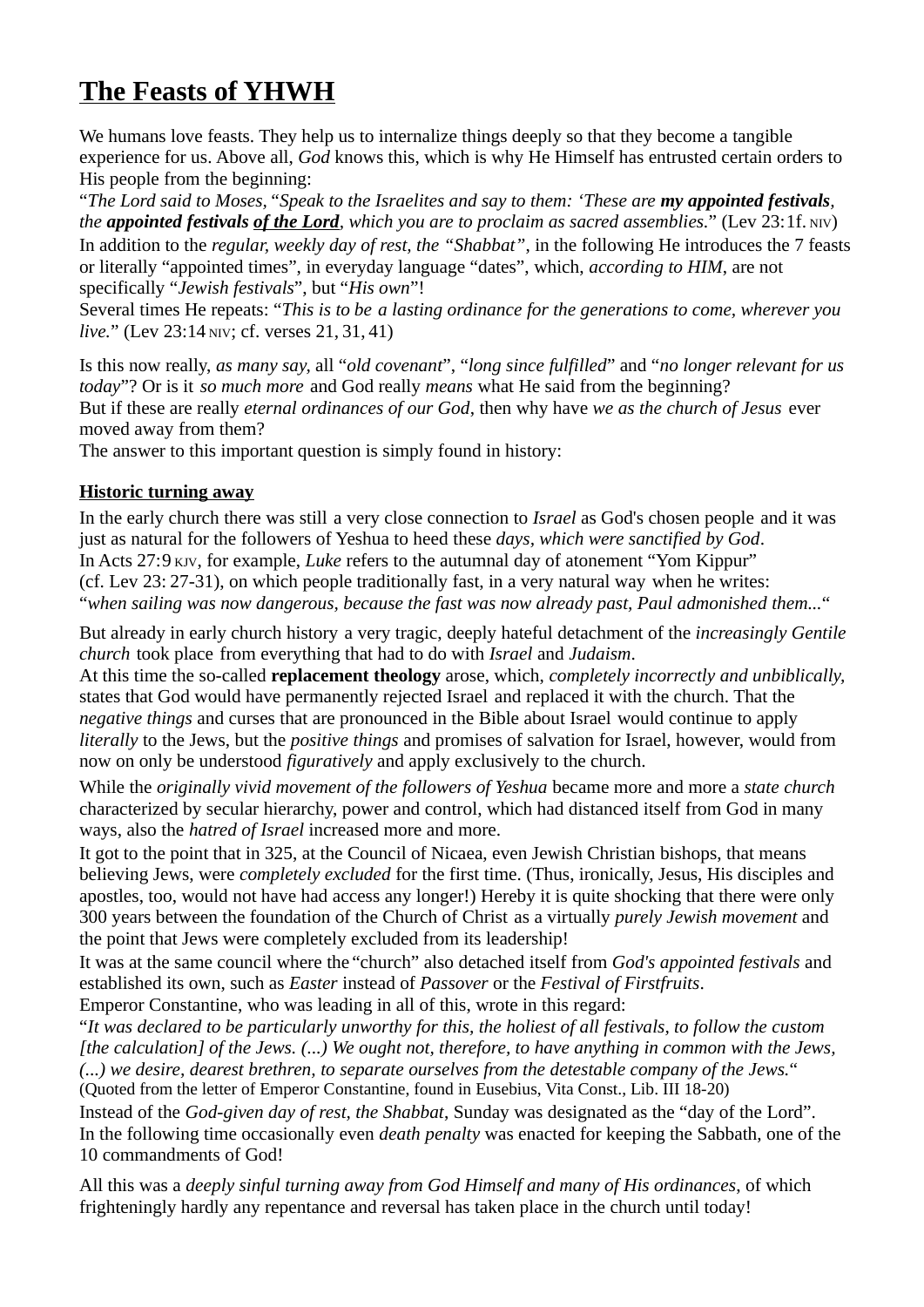# **The Feasts of YHWH**

We humans love feasts. They help us to internalize things deeply so that they become a tangible experience for us. Above all, *God* knows this, which is why He Himself has entrusted certain orders to His people from the beginning:

"*The Lord said to Moses,"Speak to the Israelites and say to them: 'These are my appointed festivals, the appointed festivals of the Lord, which you are to proclaim as sacred assemblies.*" (Lev 23:1f. NIV) In addition to the *regular, weekly day of rest, the "Shabbat"*, in the following He introduces the 7 feasts or literally "appointed times", in everyday language "dates", which, *according to HIM*, are not specifically "*Jewish festivals*", but "*His own*"!

Several times He repeats: "*This is to be a lasting ordinance for the generations to come, wherever you live.*" (Lev 23:14 NIV; cf. verses 21, 31, 41)

Is this now really, *as many say,* all "*old covenant*", "*long since fulfilled*" and "*no longer relevant for us today*"? Or is it *so much more* and God really *means* what He said from the beginning? But if these are really *eternal ordinances of our God*, then why have *we as the church of Jesus* ever moved away from them?

The answer to this important question is simply found in history:

## **Historic turning away**

In the early church there was still a very close connection to *Israel* as God's chosen people and it was just as natural for the followers of Yeshua to heed these *days, which were sanctified by God*. In Acts 27:9 KJV, for example, *Luke* refers to the autumnal day of atonement "Yom Kippur" (cf. Lev 23: 27-31), on which people traditionally fast, in a very natural way when he writes: "*when sailing was now dangerous, because the fast was now already past, Paul admonished them...*"

But already in early church history a very tragic, deeply hateful detachment of the *increasingly Gentile church* took place from everything that had to do with *Israel* and *Judaism*.

At this time the so-called **replacement theology** arose, which, *completely incorrectly and unbiblically,* states that God would have permanently rejected Israel and replaced it with the church. That the *negative things* and curses that are pronounced in the Bible about Israel would continue to apply *literally* to the Jews, but the *positive things* and promises of salvation for Israel, however, would from now on only be understood *figuratively* and apply exclusively to the church.

While the *originally vivid movement of the followers of Yeshua* became more and more a *state church* characterized by secular hierarchy, power and control, which had distanced itself from God in many ways, also the *hatred of Israel* increased more and more.

It got to the point that in 325, at the Council of Nicaea, even Jewish Christian bishops, that means believing Jews, were *completely excluded* for the first time. (Thus, ironically, Jesus, His disciples and apostles, too, would not have had access any longer!) Hereby it is quite shocking that there were only 300 years between the foundation of the Church of Christ as a virtually *purely Jewish movement* and the point that Jews were completely excluded from its leadership!

It was at the same council where the "church" also detached itself from *God's appointed festivals* and established its own, such as *Easter* instead of *Passover* or the *Festival of Firstfruits*.

Emperor Constantine, who was leading in all of this, wrote in this regard:

"*It was declared to be particularly unworthy for this, the holiest of all festivals, to follow the custom [the calculation] of the Jews. (...) We ought not, therefore, to have anything in common with the Jews, (...) we desire, dearest brethren, to separate ourselves from the detestable company of the Jews.*" (Quoted from the letter of Emperor Constantine, found in Eusebius, Vita Const., Lib. III 18-20)

Instead of the *God-given day of rest, the Shabbat*, Sunday was designated as the "day of the Lord". In the following time occasionally even *death penalty* was enacted for keeping the Sabbath, one of the 10 commandments of God!

All this was a *deeply sinful turning away from God Himself and many of His ordinances*, of which frighteningly hardly any repentance and reversal has taken place in the church until today!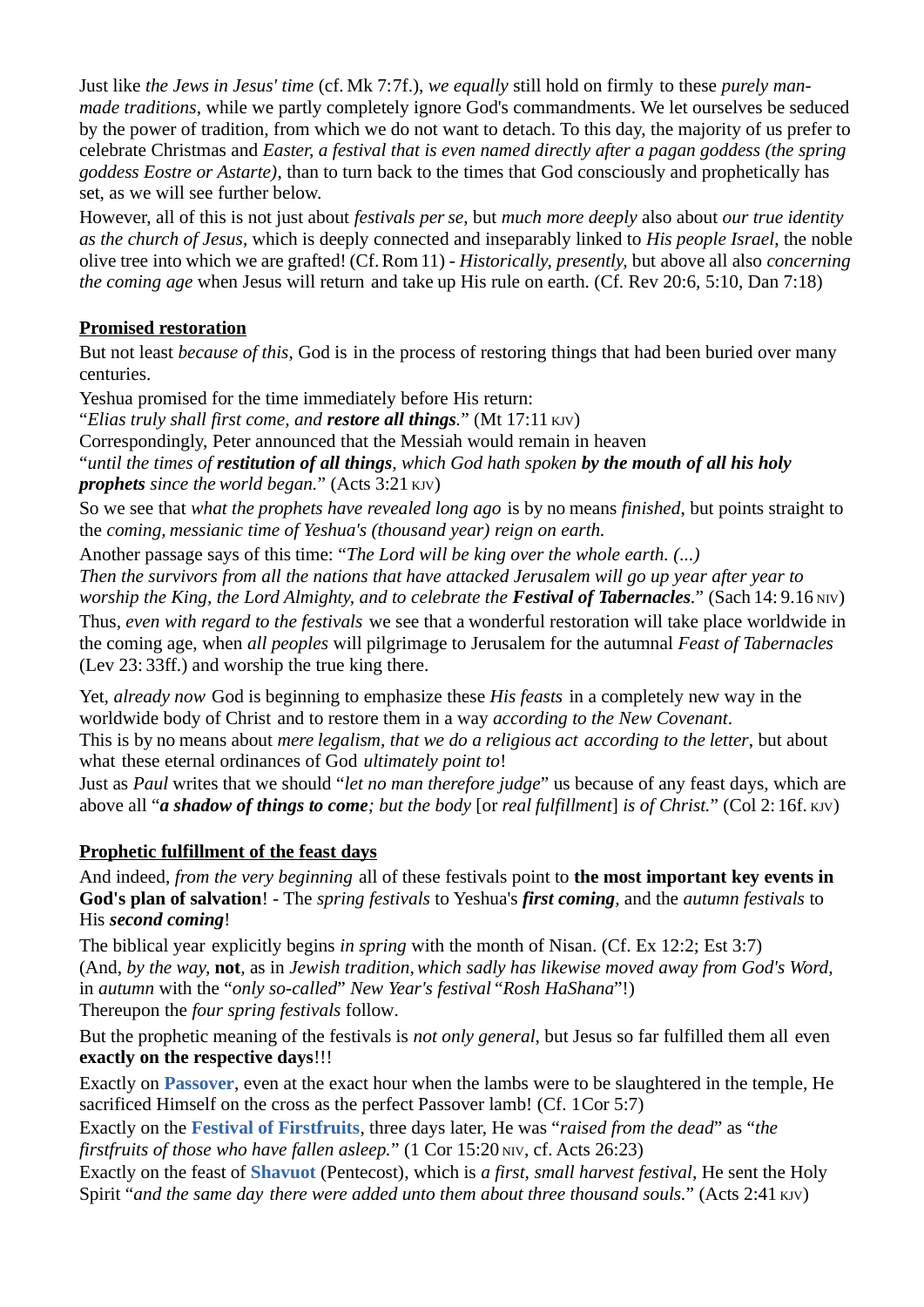Just like *the Jews in Jesus' time* (cf. Mk 7:7f.), *we equally* still hold on firmly to these *purely manmade traditions*, while we partly completely ignore God's commandments. We let ourselves be seduced by the power of tradition, from which we do not want to detach. To this day, the majority of us prefer to celebrate Christmas and *Easter, a festival that is even named directly after a pagan goddess (the spring goddess Eostre or Astarte)*, than to turn back to the times that God consciously and prophetically has set, as we will see further below.

However, all of this is not just about *festivals perse*, but *much more deeply* also about *our true identity as the church of Jesus*, which is deeply connected and inseparably linked to *His people Israel*, the noble olive tree into which we are grafted! (Cf.Rom11) - *Historically, presently,* but above all also *concerning the coming age* when Jesus will return and take up His rule on earth. (Cf. Rev 20:6, 5:10, Dan 7:18)

#### **Promised restoration**

But not least *because of this*, God is in the process of restoring things that had been buried over many centuries.

Yeshua promised for the time immediately before His return:

"*Elias truly shall first come, and restore all things.*" (Mt 17:11 KJV)

Correspondingly, Peter announced that the Messiah would remain in heaven

"*until the times of restitution of all things, which God hath spoken by the mouth of all his holy prophets since the world began.*" (Acts 3:21 KJV)

So we see that *what the prophets have revealed long ago* is by no means *finished*, but points straight to the *coming, messianic time of Yeshua's (thousand year) reign on earth.*

Another passage says of this time: "*The Lord will be king over the whole earth. (...)* 

*Then the survivors from all the nations that have attacked Jerusalem will go up year after year to worship the King, the Lord Almighty, and to celebrate the Festival of Tabernacles.*" (Sach 14: 9.16 NIV) Thus, *even with regard to the festivals* we see that a wonderful restoration will take place worldwide in the coming age, when *all peoples* will pilgrimage to Jerusalem for the autumnal *Feast of Tabernacles* (Lev 23: 33ff.) and worship the true king there.

Yet, *already now* God is beginning to emphasize these *His feasts* in a completely new way in the worldwide body of Christ and to restore them in a way *according to the New Covenant*. This is by no means about *mere legalism, that we do a religious act according to the letter*, but about what these eternal ordinances of God *ultimately point to*!

Just as *Paul* writes that we should "*let no man therefore judge*" us because of any feast days, which are above all "*a shadow of things to come; but the body* [or *real fulfillment*] *is of Christ.*" (Col 2: 16f. KJV)

## **Prophetic fulfillment of the feast days**

And indeed, *from the very beginning* all of these festivals point to **the most important key events in God's plan of salvation**! - The *spring festivals* to Yeshua's *first coming,* and the *autumn festivals* to His *second coming*!

The biblical year explicitly begins *in spring* with the month of Nisan. (Cf. Ex 12:2; Est 3:7) (And, *by the way,* **not***,* as in *Jewish tradition,which sadly has likewise moved away from God's Word,*  in *autumn* with the "*only so-called*" *New Year's festival* "*Rosh HaShana*"!) Thereupon the *four spring festivals* follow.

But the prophetic meaning of the festivals is *not only general*, but Jesus so far fulfilled them all even **exactly on the respective days**!!!

Exactly on **Passover**, even at the exact hour when the lambs were to be slaughtered in the temple, He sacrificed Himself on the cross as the perfect Passover lamb! (Cf. 1Cor 5:7)

Exactly on the **Festival of Firstfruits**, three days later, He was "*raised from the dead*" as "*the firstfruits of those who have fallen asleep.*" (1 Cor 15:20 NIV, cf. Acts 26:23)

Exactly on the feast of **Shavuot** (Pentecost), which is *a first, small harvest festival*, He sent the Holy Spirit "and the same day there were added unto them about three thousand souls." (Acts 2:41 KJV)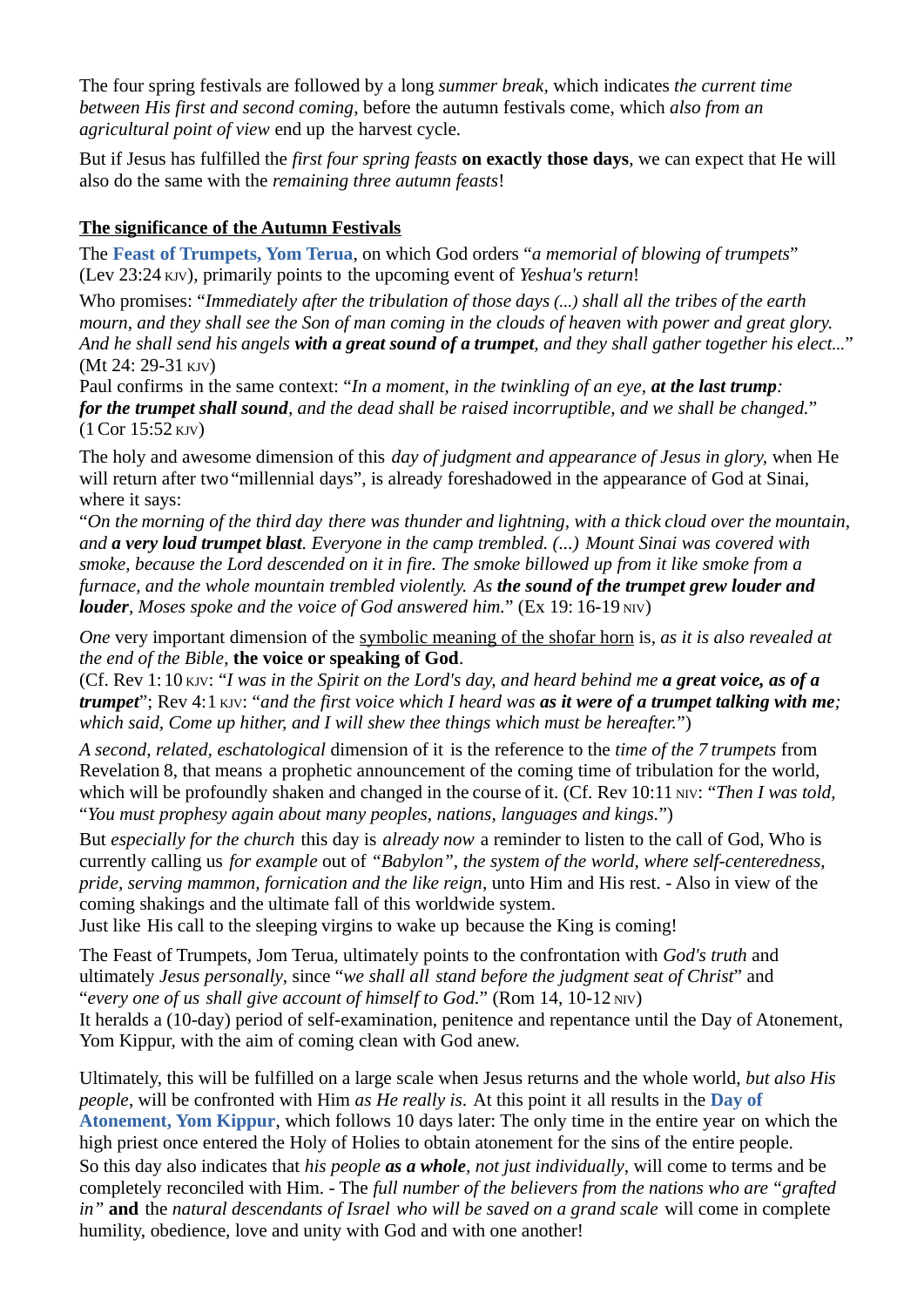The four spring festivals are followed by a long *summer break*, which indicates *the current time between His first and second coming*, before the autumn festivals come, which *also from an agricultural point of view* end up the harvest cycle.

But if Jesus has fulfilled the *first four spring feasts* **on exactly those days**, we can expect that He will also do the same with the *remaining three autumn feasts*!

#### **The significance of the Autumn Festivals**

The **Feast of Trumpets, Yom Terua**, on which God orders "*a memorial of blowing of trumpets*" (Lev 23:24 KJV), primarily points to the upcoming event of *Yeshua's return*!

Who promises: "*Immediately after the tribulation of those days (...) shall all the tribes of the earth mourn, and they shall see the Son of man coming in the clouds of heaven with power and great glory. And he shall send his angels with a great sound of a trumpet, and they shall gather together his elect...*" (Mt 24: 29-31 KJV)

Paul confirms in the same context: "*In a moment, in the twinkling of an eye, at the last trump: for the trumpet shall sound, and the dead shall be raised incorruptible, and we shall be changed.*" (1Cor 15:52 KJV)

The holy and awesome dimension of this *day of judgment and appearance of Jesus in glory,* when He will return after two "millennial days", is already foreshadowed in the appearance of God at Sinai, where it says:

"*On the morning of the third day there was thunder and lightning, with a thick cloud over the mountain, and a very loud trumpet blast. Everyone in the camp trembled. (...) Mount Sinai was covered with smoke, because the Lord descended on it in fire. The smoke billowed up from it like smoke from a furnace, and the whole mountain trembled violently. As the sound of the trumpet grew louder and louder*, *Moses spoke and the voice of God answered him.*" (Ex 19: 16-19 NIV)

*One* very important dimension of the symbolic meaning of the shofar horn is, *as it is also revealed at the end of the Bible*, **the voice or speaking of God**.

(Cf. Rev 1:10 KJV: "*I was in the Spirit on the Lord's day, and heard behind me a great voice, as of a trumpet*"; Rev 4:1 KJV: "*and the first voice which I heard was as it were of a trumpet talking with me; which said, Come up hither, and I will shew thee things which must be hereafter.*")

*A second, related, eschatological* dimension of it is the reference to the *time of the 7 trumpets* from Revelation 8, that means a prophetic announcement of the coming time of tribulation for the world, which will be profoundly shaken and changed in the course of it. (Cf. Rev 10:11 NIV: "*Then I was told*, "*You must prophesy again about many peoples, nations, languages and kings.*")

But *especially for the church* this day is *already now* a reminder to listen to the call of God, Who is currently calling us *for example* out of *"Babylon", the system of the world, where self-centeredness, pride, serving mammon, fornication and the like reign*, unto Him and His rest. - Also in view of the coming shakings and the ultimate fall of this worldwide system.

Just like His call to the sleeping virgins to wake up because the King is coming!

The Feast of Trumpets, Jom Terua, ultimately points to the confrontation with *God's truth* and ultimately *Jesus personally*, since "*we shall all stand before the judgment seat of Christ*" and "*every one of us shall give account of himself to God.*" (Rom 14, 10-12 NIV) It heralds a (10-day) period of self-examination, penitence and repentance until the Day of Atonement, Yom Kippur, with the aim of coming clean with God anew.

Ultimately, this will be fulfilled on a large scale when Jesus returns and the whole world, *but also His people*, will be confronted with Him *as He really is*. At this point it all results in the **Day of Atonement, Yom Kippur**, which follows 10 days later: The only time in the entire year on which the high priest once entered the Holy of Holies to obtain atonement for the sins of the entire people. So this day also indicates that *his people as a whole, not just individually*, will come to terms and be completely reconciled with Him. - The *full number of the believers from the nations who are "grafted in"* **and** the *natural descendants of Israel who will be saved on a grand scale* will come in complete humility, obedience, love and unity with God and with one another!